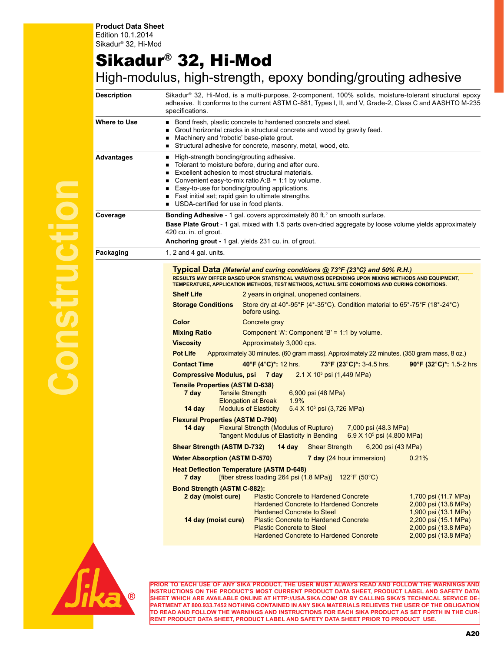## Sikadur® 32, Hi-Mod

## High-modulus, high-strength, epoxy bonding/grouting adhesive

| <b>Description</b> | Sikadur® 32, Hi-Mod, is a multi-purpose, 2-component, 100% solids, moisture-tolerant structural epoxy<br>adhesive. It conforms to the current ASTM C-881, Types I, II, and V, Grade-2, Class C and AASHTO M-235<br>specifications.                                                                                                                                                                                                                                                                         |  |  |  |  |
|--------------------|------------------------------------------------------------------------------------------------------------------------------------------------------------------------------------------------------------------------------------------------------------------------------------------------------------------------------------------------------------------------------------------------------------------------------------------------------------------------------------------------------------|--|--|--|--|
| Where to Use       | Bond fresh, plastic concrete to hardened concrete and steel.<br>٠<br>Grout horizontal cracks in structural concrete and wood by gravity feed.<br>Machinery and 'robotic' base-plate grout.<br>п<br>Structural adhesive for concrete, masonry, metal, wood, etc.<br>п                                                                                                                                                                                                                                       |  |  |  |  |
| Advantages         | High-strength bonding/grouting adhesive.<br>٠<br>Tolerant to moisture before, during and after cure.<br>Excellent adhesion to most structural materials.<br>٠<br>Convenient easy-to-mix ratio $A:B = 1:1$ by volume.<br>Easy-to-use for bonding/grouting applications.<br>Fast initial set; rapid gain to ultimate strengths.<br>USDA-certified for use in food plants.                                                                                                                                    |  |  |  |  |
| Coverage           | Bonding Adhesive - 1 gal. covers approximately 80 ft. <sup>2</sup> on smooth surface.<br>Base Plate Grout - 1 gal. mixed with 1.5 parts oven-dried aggregate by loose volume yields approximately<br>420 cu. in. of grout.<br>Anchoring grout - 1 gal. yields 231 cu. in. of grout.                                                                                                                                                                                                                        |  |  |  |  |
| Packaging          | 1, 2 and 4 gal. units.                                                                                                                                                                                                                                                                                                                                                                                                                                                                                     |  |  |  |  |
|                    | Typical Data (Material and curing conditions @ 73°F {23°C} and 50% R.H.)<br>RESULTS MAY DIFFER BASED UPON STATISTICAL VARIATIONS DEPENDING UPON MIXING METHODS AND EQUIPMENT,<br>TEMPERATURE, APPLICATION METHODS, TEST METHODS, ACTUAL SITE CONDITIONS AND CURING CONDITIONS.<br><b>Shelf Life</b><br>2 years in original, unopened containers.                                                                                                                                                           |  |  |  |  |
|                    | Store dry at 40°-95°F (4°-35°C). Condition material to 65°-75°F (18°-24°C)<br><b>Storage Conditions</b><br>before using.                                                                                                                                                                                                                                                                                                                                                                                   |  |  |  |  |
|                    | Color<br>Concrete gray                                                                                                                                                                                                                                                                                                                                                                                                                                                                                     |  |  |  |  |
|                    | <b>Mixing Ratio</b><br>Component 'A': Component 'B' = 1:1 by volume.                                                                                                                                                                                                                                                                                                                                                                                                                                       |  |  |  |  |
|                    | <b>Viscosity</b><br>Approximately 3,000 cps.                                                                                                                                                                                                                                                                                                                                                                                                                                                               |  |  |  |  |
|                    | <b>Pot Life</b><br>Approximately 30 minutes. (60 gram mass). Approximately 22 minutes. (350 gram mass, 8 oz.)                                                                                                                                                                                                                                                                                                                                                                                              |  |  |  |  |
|                    | 40°F (4°C)*: 12 hrs.<br>90°F (32°C)*: 1.5-2 hrs<br><b>Contact Time</b><br>73°F (23°C)*: 3-4.5 hrs.<br><b>Compressive Modulus, psi 7 day</b><br>$2.1 \times 10^5$ psi (1,449 MPa)                                                                                                                                                                                                                                                                                                                           |  |  |  |  |
|                    | <b>Tensile Properties (ASTM D-638)</b><br>7 day<br><b>Tensile Strength</b><br>6,900 psi (48 MPa)<br><b>Elongation at Break</b><br>1.9%<br><b>Modulus of Elasticity</b><br>$5.4 \times 10^5$ psi (3,726 MPa)<br>14 day                                                                                                                                                                                                                                                                                      |  |  |  |  |
|                    | <b>Flexural Properties (ASTM D-790)</b><br><b>Flexural Strength (Modulus of Rupture)</b><br>14 day<br>7,000 psi (48.3 MPa)<br>Tangent Modulus of Elasticity in Bending<br>6.9 X 10 <sup>5</sup> psi (4,800 MPa)                                                                                                                                                                                                                                                                                            |  |  |  |  |
|                    | <b>Shear Strength (ASTM D-732)</b><br>$14$ day<br><b>Shear Strength</b><br>6,200 psi (43 MPa)                                                                                                                                                                                                                                                                                                                                                                                                              |  |  |  |  |
|                    | <b>Water Absorption (ASTM D-570)</b><br>7 day (24 hour immersion)<br>0.21%                                                                                                                                                                                                                                                                                                                                                                                                                                 |  |  |  |  |
|                    | <b>Heat Deflection Temperature (ASTM D-648)</b><br>[fiber stress loading 264 psi $(1.8 \text{ MPa})$ ] 122°F $(50^{\circ} \text{C})$<br>7 day                                                                                                                                                                                                                                                                                                                                                              |  |  |  |  |
|                    | <b>Bond Strength (ASTM C-882):</b><br>2 day (moist cure)<br><b>Plastic Concrete to Hardened Concrete</b><br>1,700 psi (11.7 MPa)<br><b>Hardened Concrete to Hardened Concrete</b><br>2,000 psi (13.8 MPa)<br><b>Hardened Concrete to Steel</b><br>1,900 psi (13.1 MPa)<br><b>Plastic Concrete to Hardened Concrete</b><br>2,200 psi (15.1 MPa)<br>14 day (moist cure)<br><b>Plastic Concrete to Steel</b><br>2,000 psi (13.8 MPa)<br><b>Hardened Concrete to Hardened Concrete</b><br>2,000 psi (13.8 MPa) |  |  |  |  |
|                    |                                                                                                                                                                                                                                                                                                                                                                                                                                                                                                            |  |  |  |  |



**PRIOR TO EACH USE OF ANY SIKA PRODUCT, THE USER MUST ALWAYS READ AND FOLLOW THE WARNINGS AND INSTRUCTIONS ON THE PRODUCT'S MOST CURRENT PRODUCT DATA SHEET, PRODUCT LABEL AND SAFETY DATA SHEET WHICH ARE AVAILABLE ONLINE AT HTTP://USA.SIKA.COM/ OR BY CALLING SIKA'S TECHNICAL SERVICE DE-PARTMENT AT 800.933.7452 NOTHING CONTAINED IN ANY SIKA MATERIALS RELIEVES THE USER OF THE OBLIGATION TO READ AND FOLLOW THE WARNINGS AND INSTRUCTIONS FOR EACH SIKA PRODUCT AS SET FORTH IN THE CUR-RENT PRODUCT DATA SHEET, PRODUCT LABEL AND SAFETY DATA SHEET PRIOR TO PRODUCT USE.**